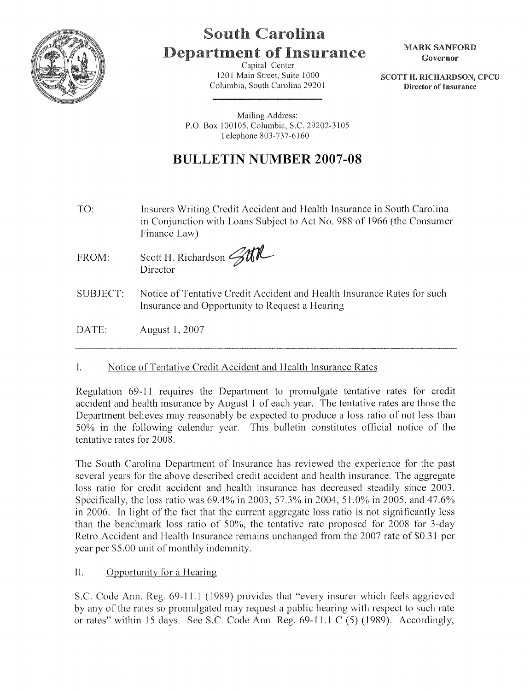

## South Carolina **Department of Insurance**

Capital Center 1201 Main Street, Suite 1000 Columbia, South Carolina 2920 I MARK SANFORD Governor

SCOTT H. RICHARDSON, CPCU Director of Insurance

Mailing Address: P.O. Box 100105, Columbia, S.C. 29202-3105 Telephone 803-737-6160

## **BULLETIN NUMBER 2007-08**

- TO: Insurers Writing Credit Accident and Health Insurance in South Carolina in Conjunction with Loans Subject to Act No. 988 of 1966 (the Consumer Finance Law)
- FROM: Scott H. Richardson **4th** Director
- SUBJECT: Notice ofTentative Credit Accident and Health Insurance Rates for such Insurance and Opportunity to Request a Hearing

DATE: August 1, 2007

## 1. Notice of Tentative Credit Accident and Health Insurance Rates

Regulation 69-11 requires the Department to promulgate tentative rates for credit accident and health insurance by August 1 of each year. The tentative rates are those the Department believes may reasonably be expected to produce a loss ratio of not less than 50% in the following calendar year. This bulletin constitutes official notice of the tentative rates for 2008.

The South Carolina Department of Insurance has reviewed the experience for the past several years for the above described credit accident and health insurance. The aggregate loss ratio for credit accident and health insurance has decreased steadily since 2003. Specifically, the loss ratio was 69.4% in 2003, 57.3% in 2004, 51.0% in 2005, and 47.6% in 2006. In light of the fact that the current aggregate loss ratio is not significantly less than the benchmark loss ratio of 50%, the tentative rate proposed for 2008 for 3-day Retro Accident and Health Insurance remains unchanged from the 2007 rate of \$0.31 per year per \$5.00 unit of monthly indemnity.

II. Opportunity for a Hearing

S.C. Code Ann. Reg. 69-11.1 ( 1989) provides that "every insurer which feels aggrieved by any of the rates so promulgated may request a public hearing with respect to such rate or rates" within 15 days. See S.C. Code Ann. Reg. 69-11.1 C (5) (1989). Accordingly,